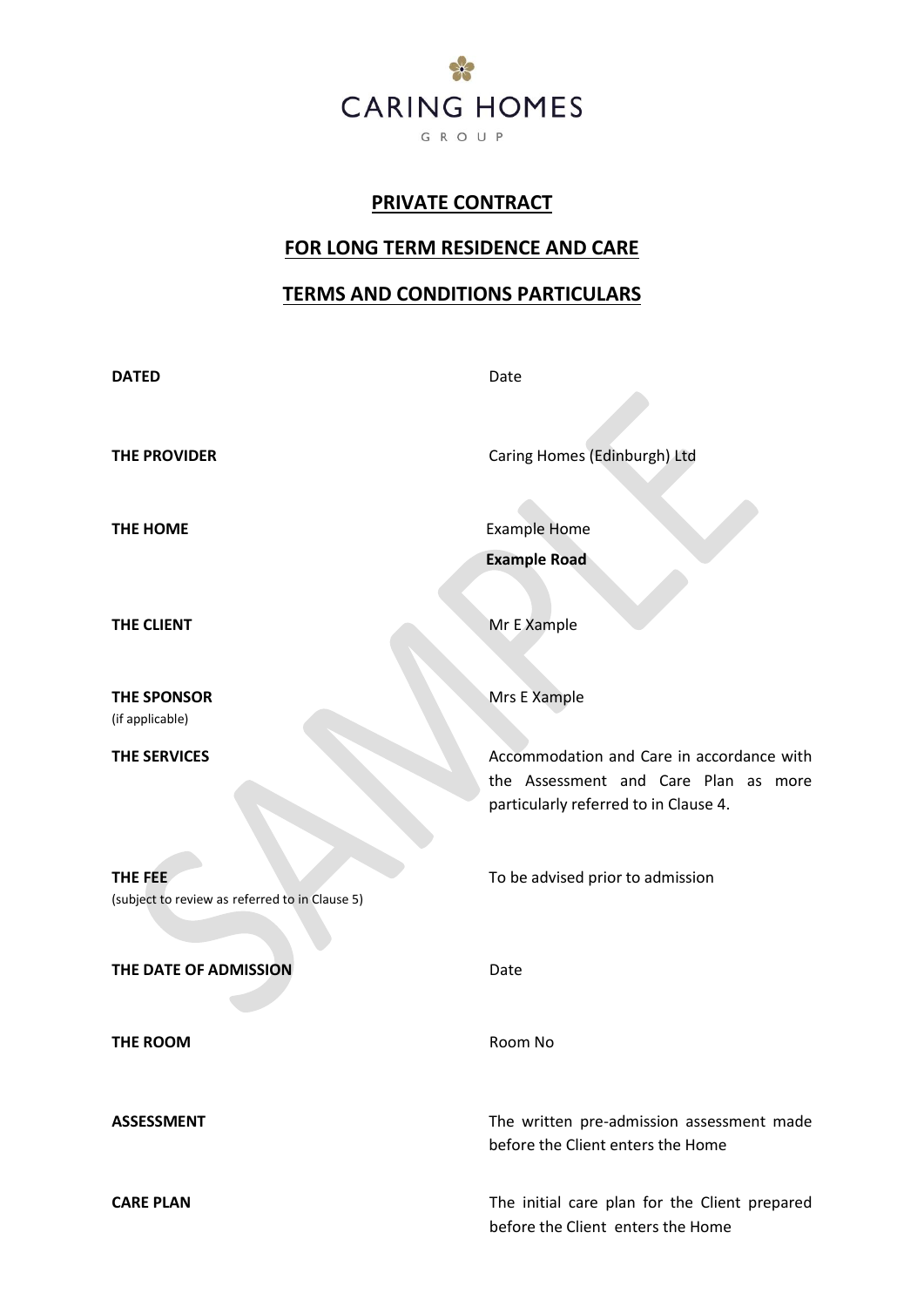

# **PRIVATE CONTRACT**

# **FOR LONG TERM RESIDENCE AND CARE**

# **TERMS AND CONDITIONS PARTICULARS**

| <b>DATED</b>                                              | Date                                                                              |
|-----------------------------------------------------------|-----------------------------------------------------------------------------------|
|                                                           |                                                                                   |
| <b>THE PROVIDER</b>                                       | Caring Homes (Edinburgh) Ltd                                                      |
| THE HOME                                                  | <b>Example Home</b>                                                               |
|                                                           | <b>Example Road</b>                                                               |
|                                                           |                                                                                   |
| THE CLIENT                                                | Mr E Xample                                                                       |
| <b>THE SPONSOR</b>                                        | Mrs E Xample                                                                      |
| (if applicable)                                           |                                                                                   |
| <b>THE SERVICES</b>                                       | Accommodation and Care in accordance with<br>the Assessment and Care Plan as more |
|                                                           | particularly referred to in Clause 4.                                             |
|                                                           |                                                                                   |
| THE FEE<br>(subject to review as referred to in Clause 5) | To be advised prior to admission                                                  |
|                                                           |                                                                                   |
| THE DATE OF ADMISSION                                     | Date                                                                              |
| THE ROOM                                                  | Room No                                                                           |
|                                                           |                                                                                   |
| <b>ASSESSMENT</b>                                         | The written pre-admission assessment made                                         |
|                                                           | before the Client enters the Home                                                 |
| <b>CARE PLAN</b>                                          | The initial care plan for the Client prepared                                     |
|                                                           | before the Client enters the Home                                                 |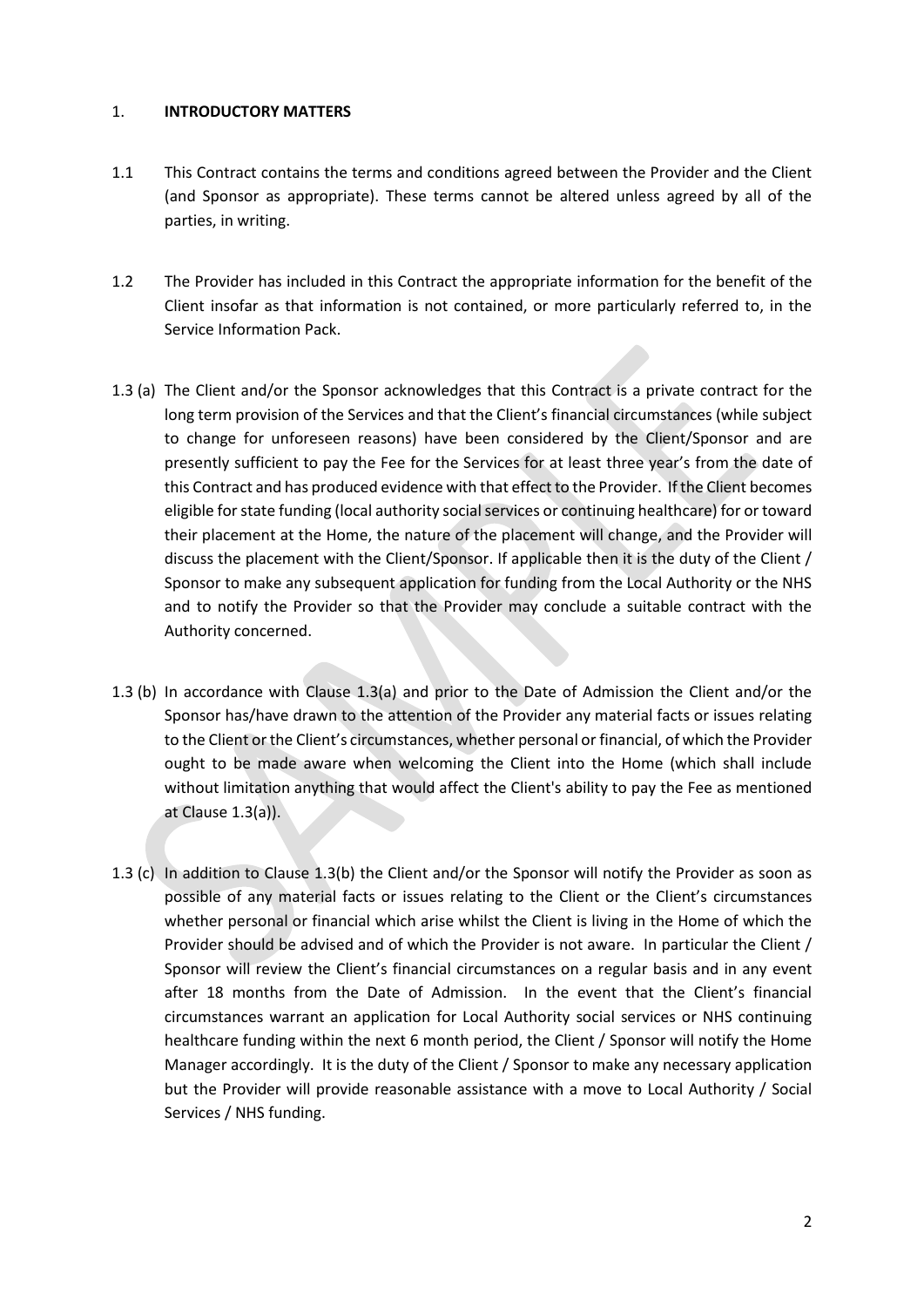#### 1. **INTRODUCTORY MATTERS**

- 1.1 This Contract contains the terms and conditions agreed between the Provider and the Client (and Sponsor as appropriate). These terms cannot be altered unless agreed by all of the parties, in writing.
- 1.2 The Provider has included in this Contract the appropriate information for the benefit of the Client insofar as that information is not contained, or more particularly referred to, in the Service Information Pack.
- 1.3 (a) The Client and/or the Sponsor acknowledges that this Contract is a private contract for the long term provision of the Services and that the Client's financial circumstances (while subject to change for unforeseen reasons) have been considered by the Client/Sponsor and are presently sufficient to pay the Fee for the Services for at least three year's from the date of this Contract and has produced evidence with that effect to the Provider. If the Client becomes eligible for state funding (local authority social services or continuing healthcare) for or toward their placement at the Home, the nature of the placement will change, and the Provider will discuss the placement with the Client/Sponsor. If applicable then it is the duty of the Client / Sponsor to make any subsequent application for funding from the Local Authority or the NHS and to notify the Provider so that the Provider may conclude a suitable contract with the Authority concerned.
- 1.3 (b) In accordance with Clause 1.3(a) and prior to the Date of Admission the Client and/or the Sponsor has/have drawn to the attention of the Provider any material facts or issues relating to the Client or the Client's circumstances, whether personal or financial, of which the Provider ought to be made aware when welcoming the Client into the Home (which shall include without limitation anything that would affect the Client's ability to pay the Fee as mentioned at Clause 1.3(a)).
- 1.3 (c) In addition to Clause 1.3(b) the Client and/or the Sponsor will notify the Provider as soon as possible of any material facts or issues relating to the Client or the Client's circumstances whether personal or financial which arise whilst the Client is living in the Home of which the Provider should be advised and of which the Provider is not aware. In particular the Client / Sponsor will review the Client's financial circumstances on a regular basis and in any event after 18 months from the Date of Admission. In the event that the Client's financial circumstances warrant an application for Local Authority social services or NHS continuing healthcare funding within the next 6 month period, the Client / Sponsor will notify the Home Manager accordingly. It is the duty of the Client / Sponsor to make any necessary application but the Provider will provide reasonable assistance with a move to Local Authority / Social Services / NHS funding.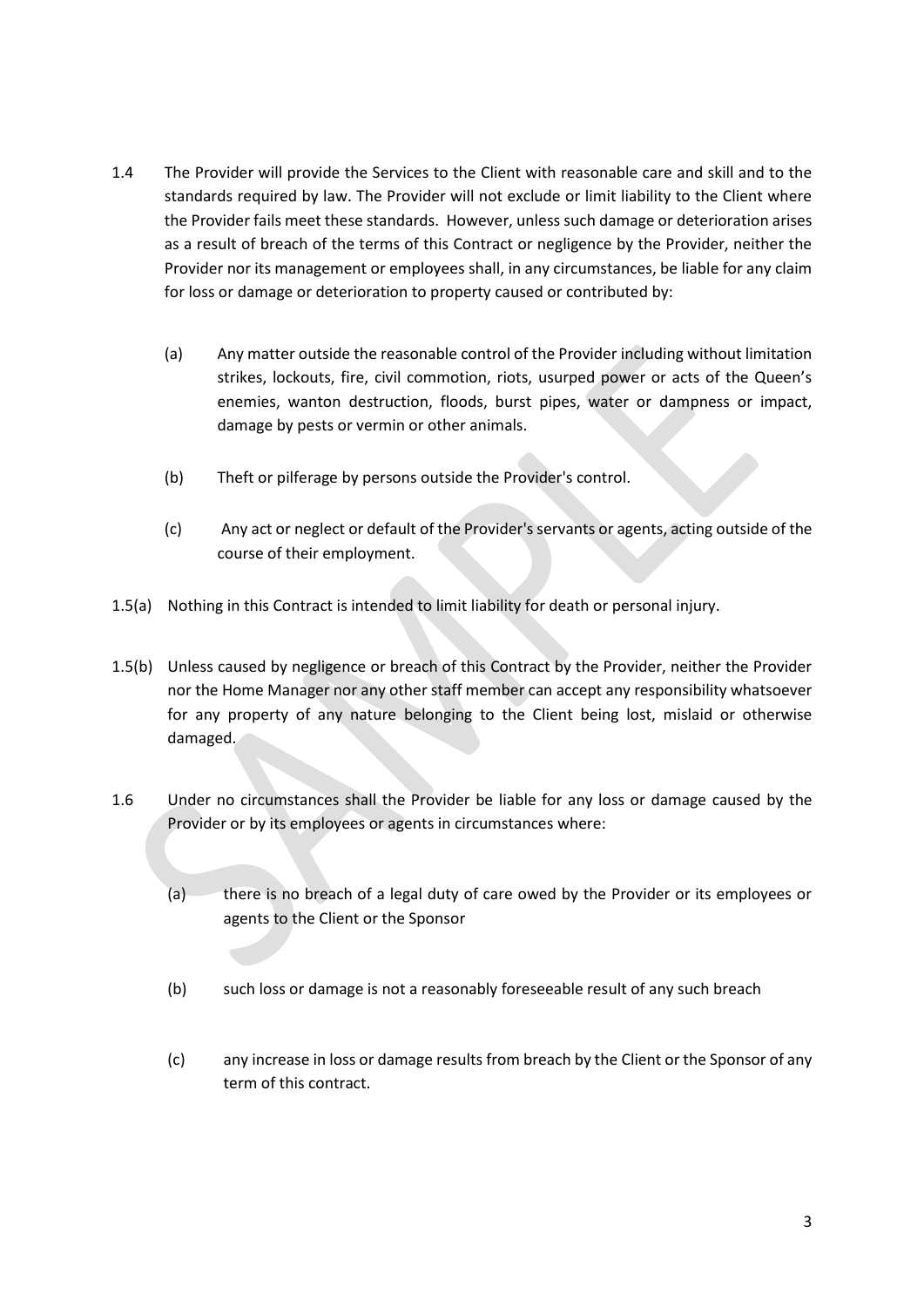- 1.4 The Provider will provide the Services to the Client with reasonable care and skill and to the standards required by law. The Provider will not exclude or limit liability to the Client where the Provider fails meet these standards. However, unless such damage or deterioration arises as a result of breach of the terms of this Contract or negligence by the Provider, neither the Provider nor its management or employees shall, in any circumstances, be liable for any claim for loss or damage or deterioration to property caused or contributed by:
	- (a) Any matter outside the reasonable control of the Provider including without limitation strikes, lockouts, fire, civil commotion, riots, usurped power or acts of the Queen's enemies, wanton destruction, floods, burst pipes, water or dampness or impact, damage by pests or vermin or other animals.
	- (b) Theft or pilferage by persons outside the Provider's control.
	- (c) Any act or neglect or default of the Provider's servants or agents, acting outside of the course of their employment.
- 1.5(a) Nothing in this Contract is intended to limit liability for death or personal injury.
- 1.5(b) Unless caused by negligence or breach of this Contract by the Provider, neither the Provider nor the Home Manager nor any other staff member can accept any responsibility whatsoever for any property of any nature belonging to the Client being lost, mislaid or otherwise damaged.
- 1.6 Under no circumstances shall the Provider be liable for any loss or damage caused by the Provider or by its employees or agents in circumstances where:
	- (a) there is no breach of a legal duty of care owed by the Provider or its employees or agents to the Client or the Sponsor
	- (b) such loss or damage is not a reasonably foreseeable result of any such breach
	- (c) any increase in loss or damage results from breach by the Client or the Sponsor of any term of this contract.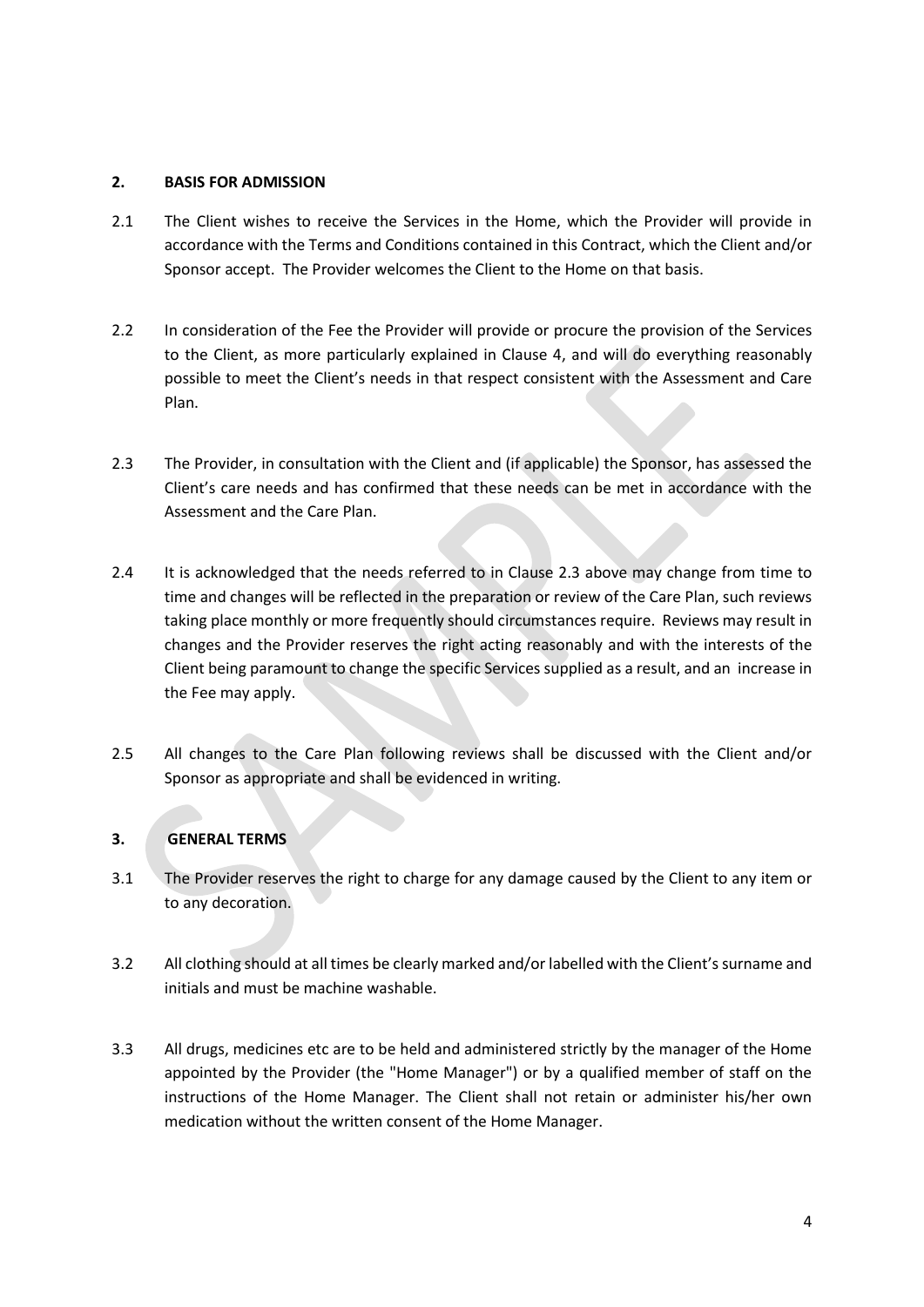#### **2. BASIS FOR ADMISSION**

- 2.1 The Client wishes to receive the Services in the Home, which the Provider will provide in accordance with the Terms and Conditions contained in this Contract, which the Client and/or Sponsor accept. The Provider welcomes the Client to the Home on that basis.
- 2.2 In consideration of the Fee the Provider will provide or procure the provision of the Services to the Client, as more particularly explained in Clause 4, and will do everything reasonably possible to meet the Client's needs in that respect consistent with the Assessment and Care Plan.
- 2.3 The Provider, in consultation with the Client and (if applicable) the Sponsor, has assessed the Client's care needs and has confirmed that these needs can be met in accordance with the Assessment and the Care Plan.
- 2.4 It is acknowledged that the needs referred to in Clause 2.3 above may change from time to time and changes will be reflected in the preparation or review of the Care Plan, such reviews taking place monthly or more frequently should circumstances require. Reviews may result in changes and the Provider reserves the right acting reasonably and with the interests of the Client being paramount to change the specific Services supplied as a result, and an increase in the Fee may apply.
- 2.5 All changes to the Care Plan following reviews shall be discussed with the Client and/or Sponsor as appropriate and shall be evidenced in writing.

# **3. GENERAL TERMS**

- 3.1 The Provider reserves the right to charge for any damage caused by the Client to any item or to any decoration.
- 3.2 All clothing should at all times be clearly marked and/or labelled with the Client's surname and initials and must be machine washable.
- 3.3 All drugs, medicines etc are to be held and administered strictly by the manager of the Home appointed by the Provider (the "Home Manager") or by a qualified member of staff on the instructions of the Home Manager. The Client shall not retain or administer his/her own medication without the written consent of the Home Manager.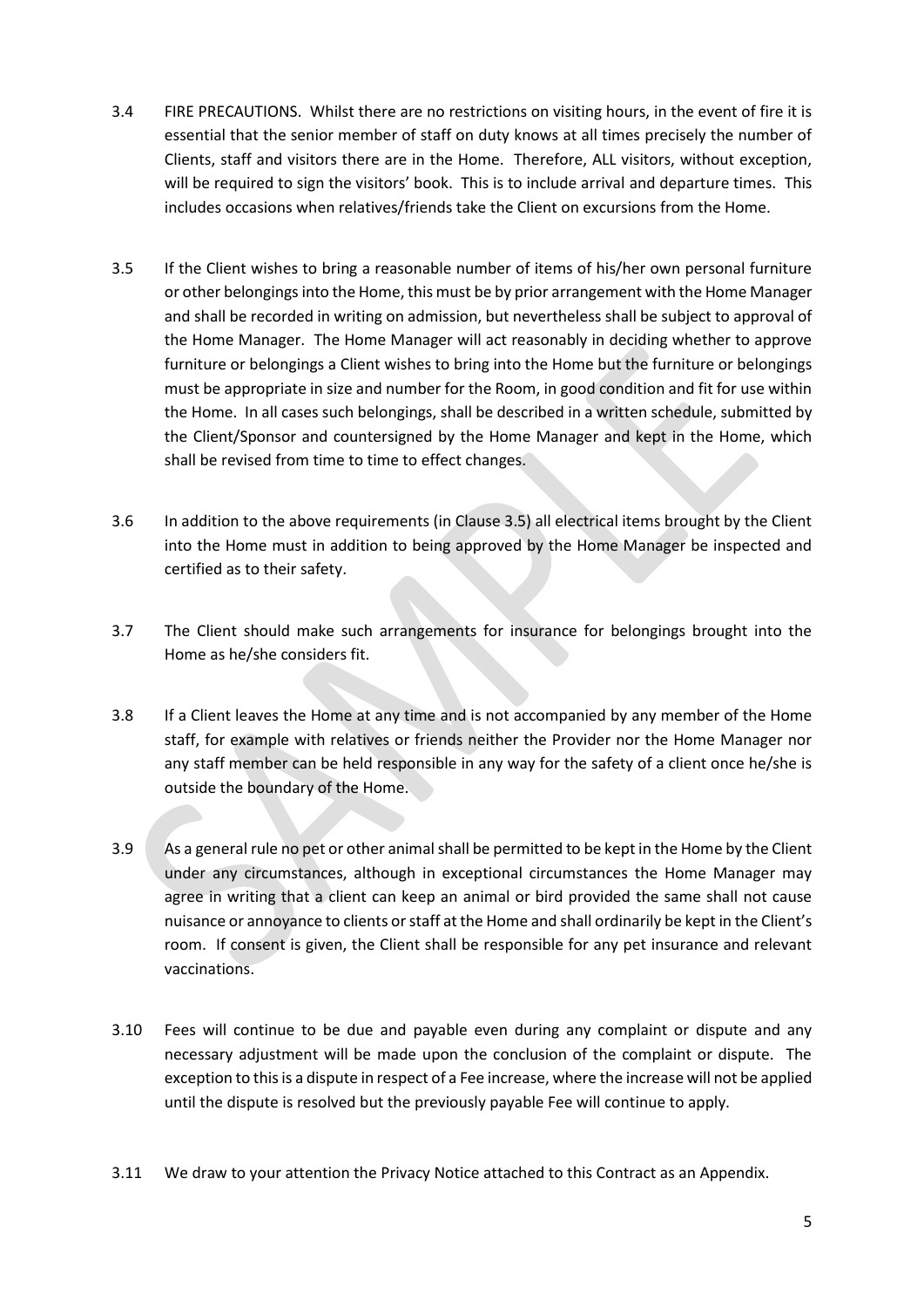- 3.4 FIRE PRECAUTIONS. Whilst there are no restrictions on visiting hours, in the event of fire it is essential that the senior member of staff on duty knows at all times precisely the number of Clients, staff and visitors there are in the Home. Therefore, ALL visitors, without exception, will be required to sign the visitors' book. This is to include arrival and departure times. This includes occasions when relatives/friends take the Client on excursions from the Home.
- 3.5 If the Client wishes to bring a reasonable number of items of his/her own personal furniture or other belongings into the Home, this must be by prior arrangement with the Home Manager and shall be recorded in writing on admission, but nevertheless shall be subject to approval of the Home Manager. The Home Manager will act reasonably in deciding whether to approve furniture or belongings a Client wishes to bring into the Home but the furniture or belongings must be appropriate in size and number for the Room, in good condition and fit for use within the Home. In all cases such belongings, shall be described in a written schedule, submitted by the Client/Sponsor and countersigned by the Home Manager and kept in the Home, which shall be revised from time to time to effect changes.
- 3.6 In addition to the above requirements (in Clause 3.5) all electrical items brought by the Client into the Home must in addition to being approved by the Home Manager be inspected and certified as to their safety.
- 3.7 The Client should make such arrangements for insurance for belongings brought into the Home as he/she considers fit.
- 3.8 If a Client leaves the Home at any time and is not accompanied by any member of the Home staff, for example with relatives or friends neither the Provider nor the Home Manager nor any staff member can be held responsible in any way for the safety of a client once he/she is outside the boundary of the Home.
- 3.9 As a general rule no pet or other animal shall be permitted to be kept in the Home by the Client under any circumstances, although in exceptional circumstances the Home Manager may agree in writing that a client can keep an animal or bird provided the same shall not cause nuisance or annoyance to clients or staff at the Home and shall ordinarily be kept in the Client's room. If consent is given, the Client shall be responsible for any pet insurance and relevant vaccinations.
- 3.10 Fees will continue to be due and payable even during any complaint or dispute and any necessary adjustment will be made upon the conclusion of the complaint or dispute. The exception to this is a dispute in respect of a Fee increase, where the increase will not be applied until the dispute is resolved but the previously payable Fee will continue to apply.
- 3.11 We draw to your attention the Privacy Notice attached to this Contract as an Appendix.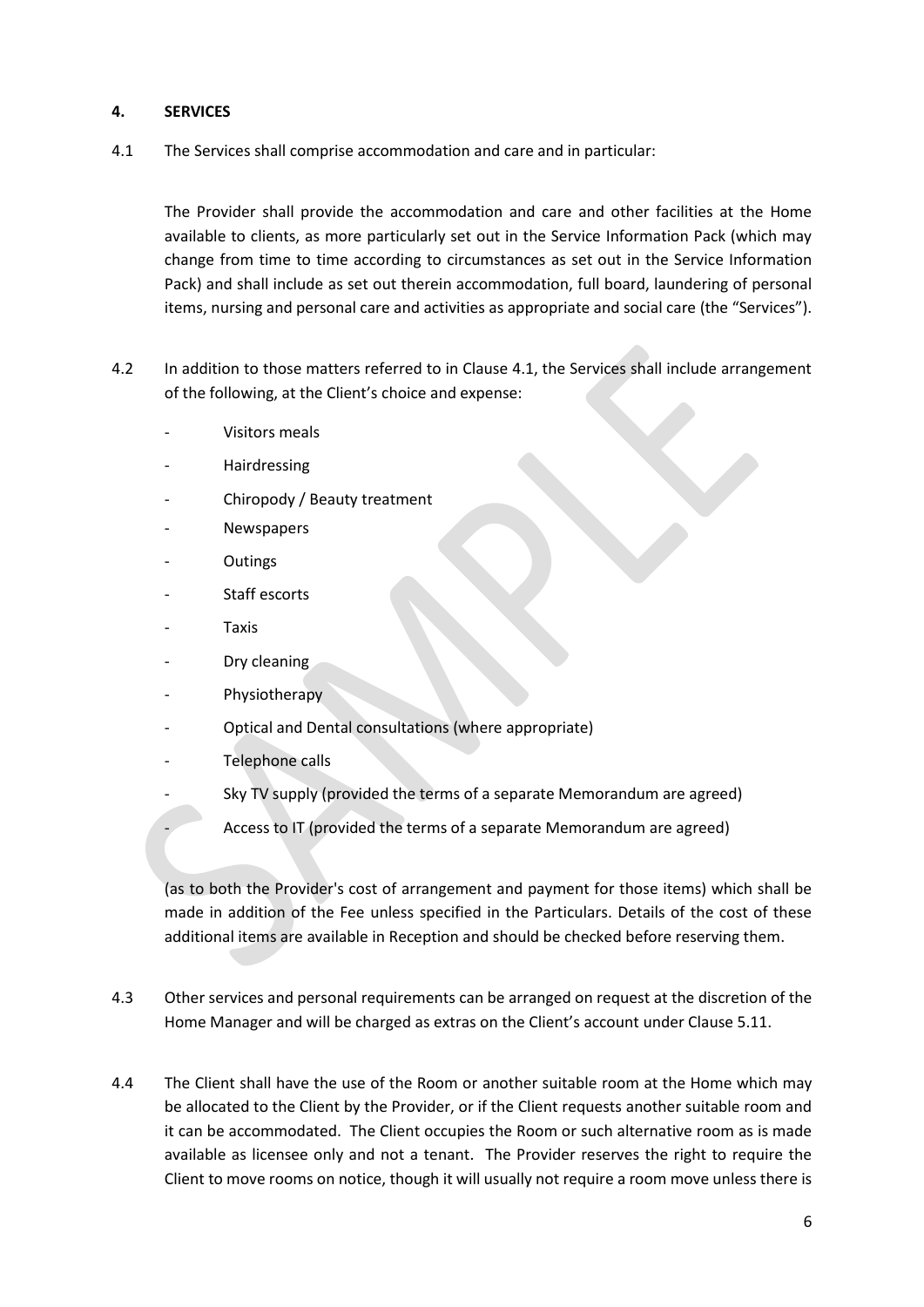#### **4. SERVICES**

4.1 The Services shall comprise accommodation and care and in particular:

The Provider shall provide the accommodation and care and other facilities at the Home available to clients, as more particularly set out in the Service Information Pack (which may change from time to time according to circumstances as set out in the Service Information Pack) and shall include as set out therein accommodation, full board, laundering of personal items, nursing and personal care and activities as appropriate and social care (the "Services").

- 4.2 In addition to those matters referred to in Clause 4.1, the Services shall include arrangement of the following, at the Client's choice and expense:
	- Visitors meals
	- **Hairdressing**
	- Chiropody / Beauty treatment
	- **Newspapers**
	- **Outings**
	- Staff escorts
	- **Taxis**
	- Dry cleaning
	- Physiotherapy
	- Optical and Dental consultations (where appropriate)
	- Telephone calls
	- Sky TV supply (provided the terms of a separate Memorandum are agreed)
		- Access to IT (provided the terms of a separate Memorandum are agreed)

(as to both the Provider's cost of arrangement and payment for those items) which shall be made in addition of the Fee unless specified in the Particulars. Details of the cost of these additional items are available in Reception and should be checked before reserving them.

- 4.3 Other services and personal requirements can be arranged on request at the discretion of the Home Manager and will be charged as extras on the Client's account under Clause 5.11.
- 4.4 The Client shall have the use of the Room or another suitable room at the Home which may be allocated to the Client by the Provider, or if the Client requests another suitable room and it can be accommodated. The Client occupies the Room or such alternative room as is made available as licensee only and not a tenant. The Provider reserves the right to require the Client to move rooms on notice, though it will usually not require a room move unless there is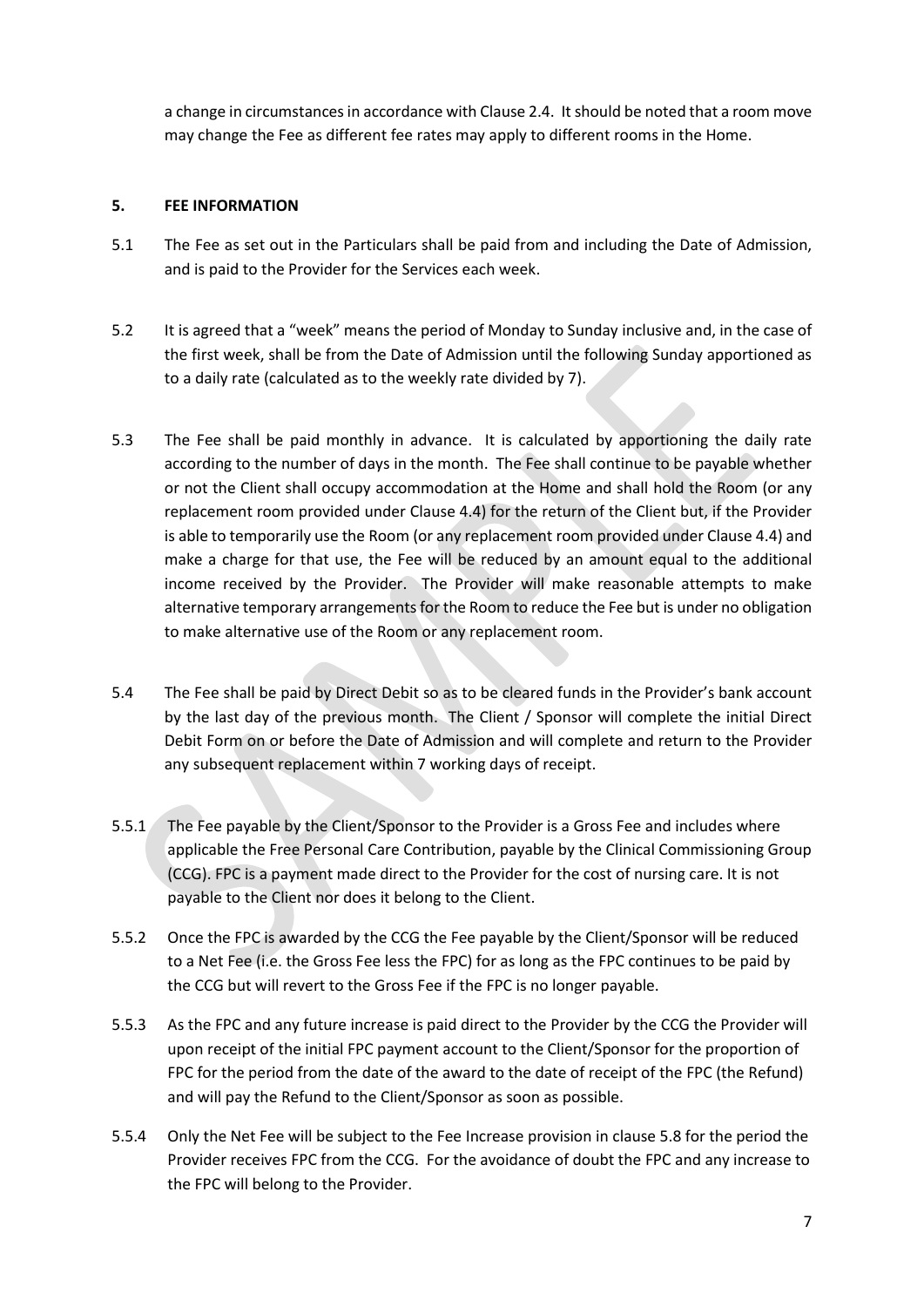a change in circumstances in accordance with Clause 2.4. It should be noted that a room move may change the Fee as different fee rates may apply to different rooms in the Home.

#### **5. FEE INFORMATION**

- 5.1 The Fee as set out in the Particulars shall be paid from and including the Date of Admission, and is paid to the Provider for the Services each week.
- 5.2 It is agreed that a "week" means the period of Monday to Sunday inclusive and, in the case of the first week, shall be from the Date of Admission until the following Sunday apportioned as to a daily rate (calculated as to the weekly rate divided by 7).
- 5.3 The Fee shall be paid monthly in advance. It is calculated by apportioning the daily rate according to the number of days in the month. The Fee shall continue to be payable whether or not the Client shall occupy accommodation at the Home and shall hold the Room (or any replacement room provided under Clause 4.4) for the return of the Client but, if the Provider is able to temporarily use the Room (or any replacement room provided under Clause 4.4) and make a charge for that use, the Fee will be reduced by an amount equal to the additional income received by the Provider. The Provider will make reasonable attempts to make alternative temporary arrangements for the Room to reduce the Fee but is under no obligation to make alternative use of the Room or any replacement room.
- 5.4 The Fee shall be paid by Direct Debit so as to be cleared funds in the Provider's bank account by the last day of the previous month. The Client / Sponsor will complete the initial Direct Debit Form on or before the Date of Admission and will complete and return to the Provider any subsequent replacement within 7 working days of receipt.
- 5.5.1 The Fee payable by the Client/Sponsor to the Provider is a Gross Fee and includes where applicable the Free Personal Care Contribution, payable by the Clinical Commissioning Group (CCG). FPC is a payment made direct to the Provider for the cost of nursing care. It is not payable to the Client nor does it belong to the Client.
- 5.5.2 Once the FPC is awarded by the CCG the Fee payable by the Client/Sponsor will be reduced to a Net Fee (i.e. the Gross Fee less the FPC) for as long as the FPC continues to be paid by the CCG but will revert to the Gross Fee if the FPC is no longer payable.
- 5.5.3 As the FPC and any future increase is paid direct to the Provider by the CCG the Provider will upon receipt of the initial FPC payment account to the Client/Sponsor for the proportion of FPC for the period from the date of the award to the date of receipt of the FPC (the Refund) and will pay the Refund to the Client/Sponsor as soon as possible.
- 5.5.4 Only the Net Fee will be subject to the Fee Increase provision in clause 5.8 for the period the Provider receives FPC from the CCG. For the avoidance of doubt the FPC and any increase to the FPC will belong to the Provider.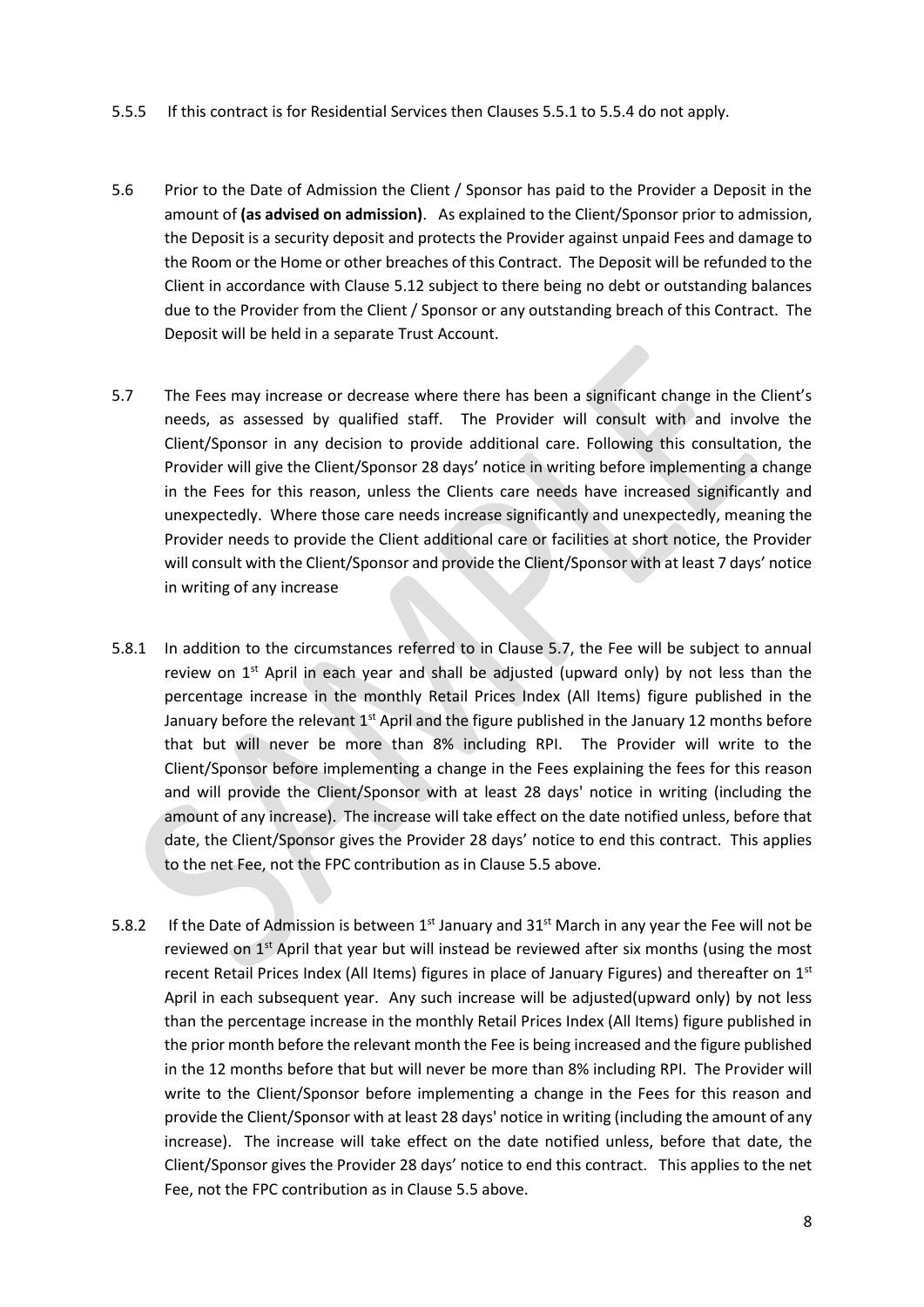- 5.5.5 If this contract is for Residential Services then Clauses 5.5.1 to 5.5.4 do not apply.
- 5.6 Prior to the Date of Admission the Client / Sponsor has paid to the Provider a Deposit in the amount of **(as advised on admission)**. As explained to the Client/Sponsor prior to admission, the Deposit is a security deposit and protects the Provider against unpaid Fees and damage to the Room or the Home or other breaches of this Contract. The Deposit will be refunded to the Client in accordance with Clause 5.12 subject to there being no debt or outstanding balances due to the Provider from the Client / Sponsor or any outstanding breach of this Contract. The Deposit will be held in a separate Trust Account.
- 5.7 The Fees may increase or decrease where there has been a significant change in the Client's needs, as assessed by qualified staff. The Provider will consult with and involve the Client/Sponsor in any decision to provide additional care. Following this consultation, the Provider will give the Client/Sponsor 28 days' notice in writing before implementing a change in the Fees for this reason, unless the Clients care needs have increased significantly and unexpectedly. Where those care needs increase significantly and unexpectedly, meaning the Provider needs to provide the Client additional care or facilities at short notice, the Provider will consult with the Client/Sponsor and provide the Client/Sponsor with at least 7 days' notice in writing of any increase
- 5.8.1 In addition to the circumstances referred to in Clause 5.7, the Fee will be subject to annual review on  $1<sup>st</sup>$  April in each year and shall be adjusted (upward only) by not less than the percentage increase in the monthly Retail Prices Index (All Items) figure published in the January before the relevant 1<sup>st</sup> April and the figure published in the January 12 months before that but will never be more than 8% including RPI. The Provider will write to the Client/Sponsor before implementing a change in the Fees explaining the fees for this reason and will provide the Client/Sponsor with at least 28 days' notice in writing (including the amount of any increase). The increase will take effect on the date notified unless, before that date, the Client/Sponsor gives the Provider 28 days' notice to end this contract. This applies to the net Fee, not the FPC contribution as in Clause 5.5 above.
- 5.8.2 If the Date of Admission is between  $1^{st}$  January and  $31^{st}$  March in any year the Fee will not be reviewed on  $1<sup>st</sup>$  April that year but will instead be reviewed after six months (using the most recent Retail Prices Index (All Items) figures in place of January Figures) and thereafter on 1<sup>st</sup> April in each subsequent year. Any such increase will be adjusted(upward only) by not less than the percentage increase in the monthly Retail Prices Index (All Items) figure published in the prior month before the relevant month the Fee is being increased and the figure published in the 12 months before that but will never be more than 8% including RPI. The Provider will write to the Client/Sponsor before implementing a change in the Fees for this reason and provide the Client/Sponsor with at least 28 days' notice in writing (including the amount of any increase). The increase will take effect on the date notified unless, before that date, the Client/Sponsor gives the Provider 28 days' notice to end this contract. This applies to the net Fee, not the FPC contribution as in Clause 5.5 above.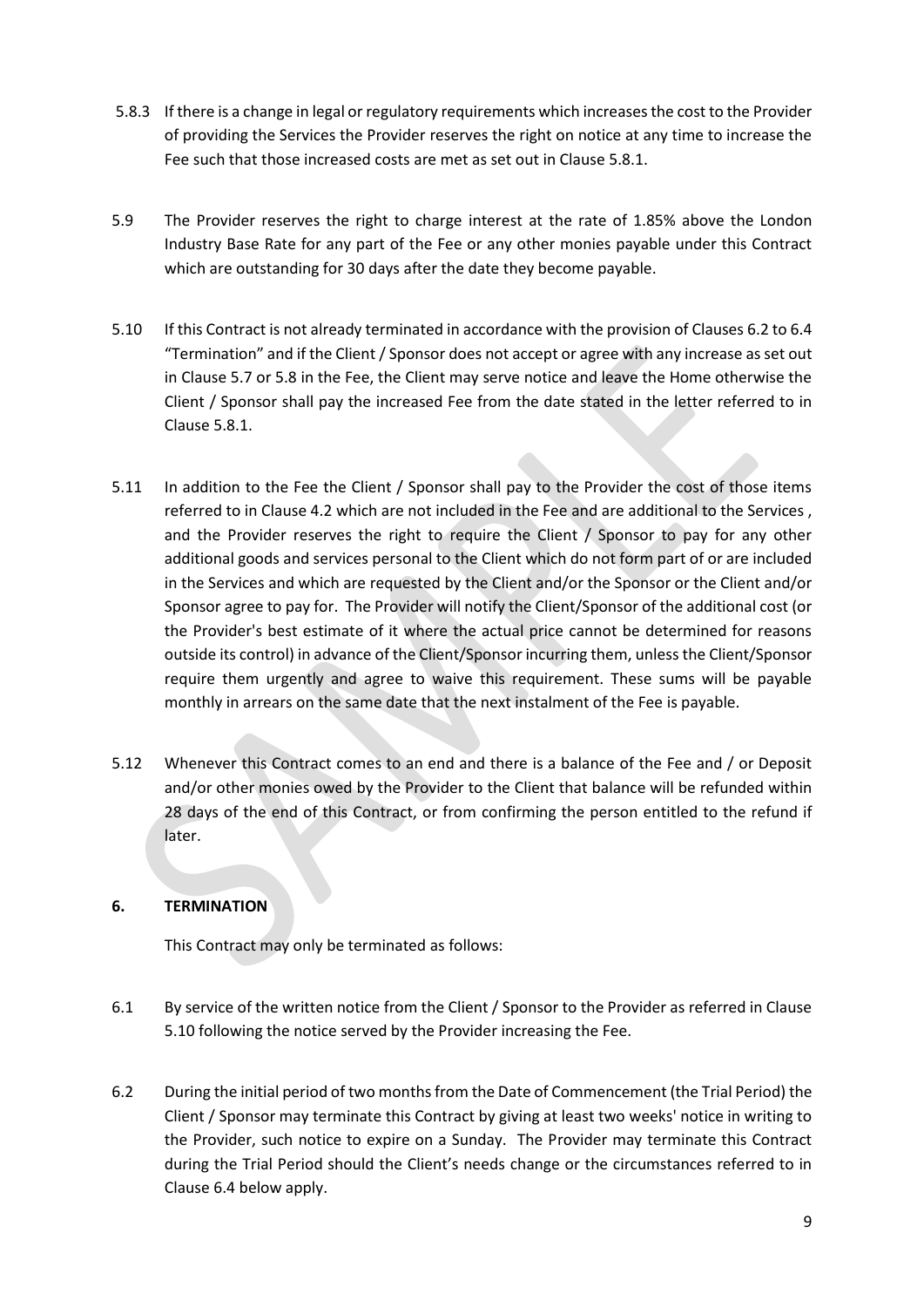- 5.8.3 If there is a change in legal or regulatory requirements which increases the cost to the Provider of providing the Services the Provider reserves the right on notice at any time to increase the Fee such that those increased costs are met as set out in Clause 5.8.1.
- 5.9 The Provider reserves the right to charge interest at the rate of 1.85% above the London Industry Base Rate for any part of the Fee or any other monies payable under this Contract which are outstanding for 30 days after the date they become payable.
- 5.10 If this Contract is not already terminated in accordance with the provision of Clauses 6.2 to 6.4 "Termination" and if the Client / Sponsor does not accept or agree with any increase as set out in Clause 5.7 or 5.8 in the Fee, the Client may serve notice and leave the Home otherwise the Client / Sponsor shall pay the increased Fee from the date stated in the letter referred to in Clause 5.8.1.
- 5.11 In addition to the Fee the Client / Sponsor shall pay to the Provider the cost of those items referred to in Clause 4.2 which are not included in the Fee and are additional to the Services , and the Provider reserves the right to require the Client / Sponsor to pay for any other additional goods and services personal to the Client which do not form part of or are included in the Services and which are requested by the Client and/or the Sponsor or the Client and/or Sponsor agree to pay for. The Provider will notify the Client/Sponsor of the additional cost (or the Provider's best estimate of it where the actual price cannot be determined for reasons outside its control) in advance of the Client/Sponsor incurring them, unless the Client/Sponsor require them urgently and agree to waive this requirement. These sums will be payable monthly in arrears on the same date that the next instalment of the Fee is payable.
- 5.12 Whenever this Contract comes to an end and there is a balance of the Fee and / or Deposit and/or other monies owed by the Provider to the Client that balance will be refunded within 28 days of the end of this Contract, or from confirming the person entitled to the refund if later.

# **6. TERMINATION**

This Contract may only be terminated as follows:

- 6.1 By service of the written notice from the Client / Sponsor to the Provider as referred in Clause 5.10 following the notice served by the Provider increasing the Fee.
- 6.2 During the initial period of two months from the Date of Commencement (the Trial Period) the Client / Sponsor may terminate this Contract by giving at least two weeks' notice in writing to the Provider, such notice to expire on a Sunday. The Provider may terminate this Contract during the Trial Period should the Client's needs change or the circumstances referred to in Clause 6.4 below apply.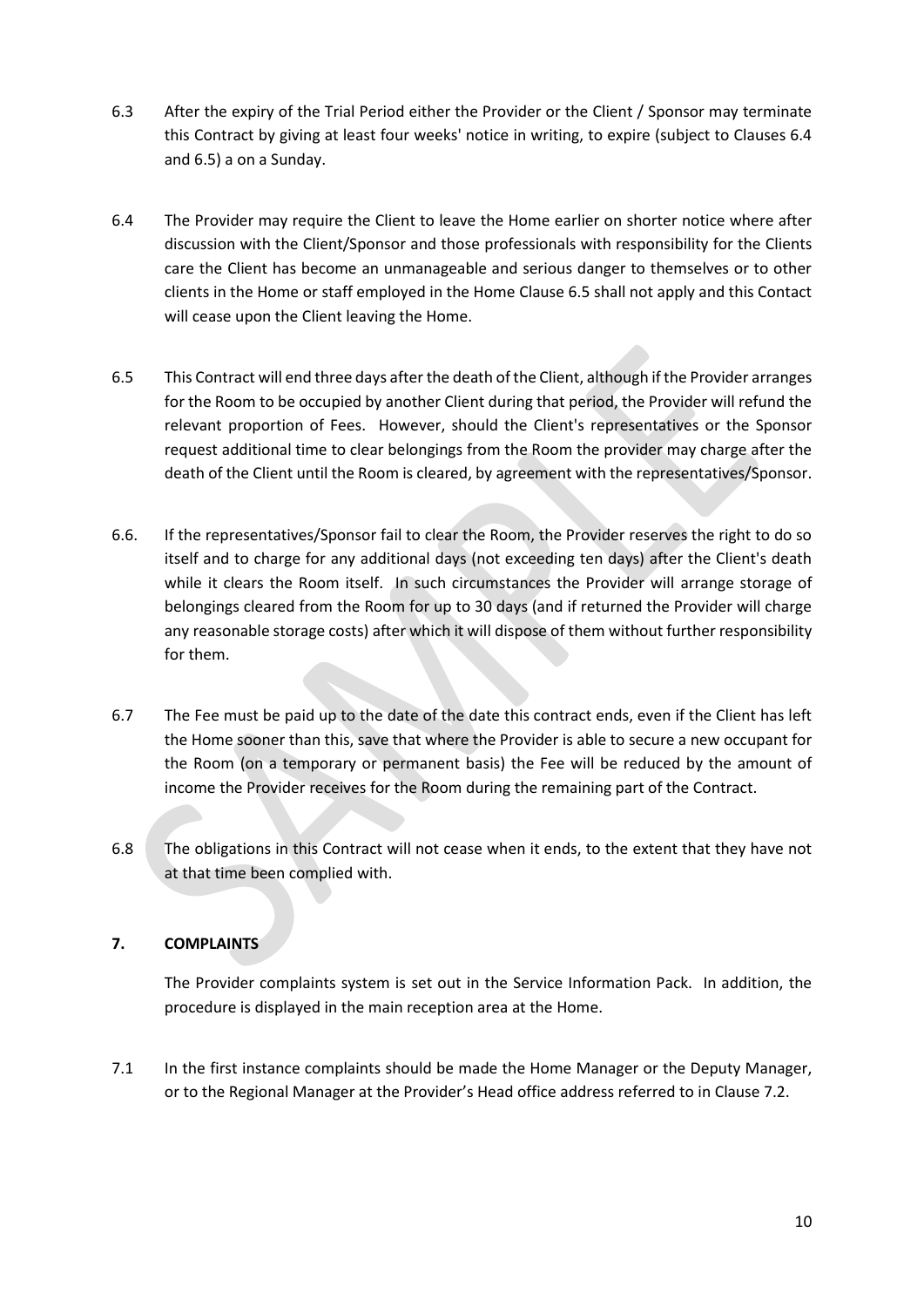- 6.3 After the expiry of the Trial Period either the Provider or the Client / Sponsor may terminate this Contract by giving at least four weeks' notice in writing, to expire (subject to Clauses 6.4 and 6.5) a on a Sunday.
- 6.4 The Provider may require the Client to leave the Home earlier on shorter notice where after discussion with the Client/Sponsor and those professionals with responsibility for the Clients care the Client has become an unmanageable and serious danger to themselves or to other clients in the Home or staff employed in the Home Clause 6.5 shall not apply and this Contact will cease upon the Client leaving the Home.
- 6.5 This Contract will end three days after the death of the Client, although if the Provider arranges for the Room to be occupied by another Client during that period, the Provider will refund the relevant proportion of Fees. However, should the Client's representatives or the Sponsor request additional time to clear belongings from the Room the provider may charge after the death of the Client until the Room is cleared, by agreement with the representatives/Sponsor.
- 6.6. If the representatives/Sponsor fail to clear the Room, the Provider reserves the right to do so itself and to charge for any additional days (not exceeding ten days) after the Client's death while it clears the Room itself. In such circumstances the Provider will arrange storage of belongings cleared from the Room for up to 30 days (and if returned the Provider will charge any reasonable storage costs) after which it will dispose of them without further responsibility for them.
- 6.7 The Fee must be paid up to the date of the date this contract ends, even if the Client has left the Home sooner than this, save that where the Provider is able to secure a new occupant for the Room (on a temporary or permanent basis) the Fee will be reduced by the amount of income the Provider receives for the Room during the remaining part of the Contract.
- 6.8 The obligations in this Contract will not cease when it ends, to the extent that they have not at that time been complied with.

# **7. COMPLAINTS**

The Provider complaints system is set out in the Service Information Pack. In addition, the procedure is displayed in the main reception area at the Home.

7.1 In the first instance complaints should be made the Home Manager or the Deputy Manager, or to the Regional Manager at the Provider's Head office address referred to in Clause 7.2.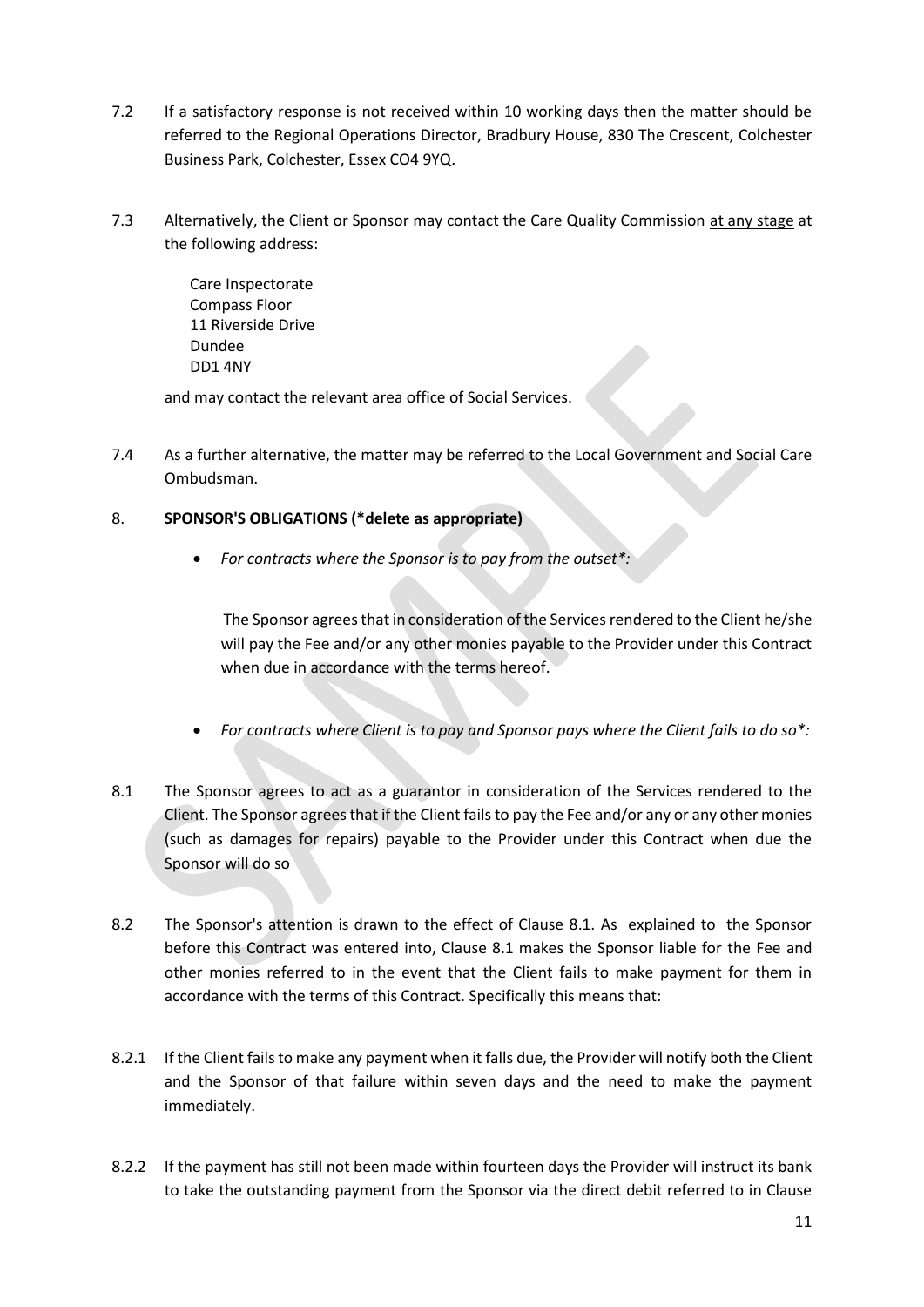- 7.2 If a satisfactory response is not received within 10 working days then the matter should be referred to the Regional Operations Director, Bradbury House, 830 The Crescent, Colchester Business Park, Colchester, Essex CO4 9YQ.
- 7.3 Alternatively, the Client or Sponsor may contact the Care Quality Commission at any stage at the following address:

Care Inspectorate Compass Floor 11 Riverside Drive Dundee DD1 4NY

and may contact the relevant area office of Social Services.

7.4 As a further alternative, the matter may be referred to the Local Government and Social Care Ombudsman.

# 8. **SPONSOR'S OBLIGATIONS (\*delete as appropriate)**

• *For contracts where the Sponsor is to pay from the outset\*:*

The Sponsor agrees that in consideration of the Services rendered to the Client he/she will pay the Fee and/or any other monies payable to the Provider under this Contract when due in accordance with the terms hereof.

- *For contracts where Client is to pay and Sponsor pays where the Client fails to do so\*:*
- 8.1 The Sponsor agrees to act as a guarantor in consideration of the Services rendered to the Client. The Sponsor agrees that if the Client fails to pay the Fee and/or any or any other monies (such as damages for repairs) payable to the Provider under this Contract when due the Sponsor will do so
- 8.2 The Sponsor's attention is drawn to the effect of Clause 8.1. As explained to the Sponsor before this Contract was entered into, Clause 8.1 makes the Sponsor liable for the Fee and other monies referred to in the event that the Client fails to make payment for them in accordance with the terms of this Contract. Specifically this means that:
- 8.2.1 If the Client fails to make any payment when it falls due, the Provider will notify both the Client and the Sponsor of that failure within seven days and the need to make the payment immediately.
- 8.2.2 If the payment has still not been made within fourteen days the Provider will instruct its bank to take the outstanding payment from the Sponsor via the direct debit referred to in Clause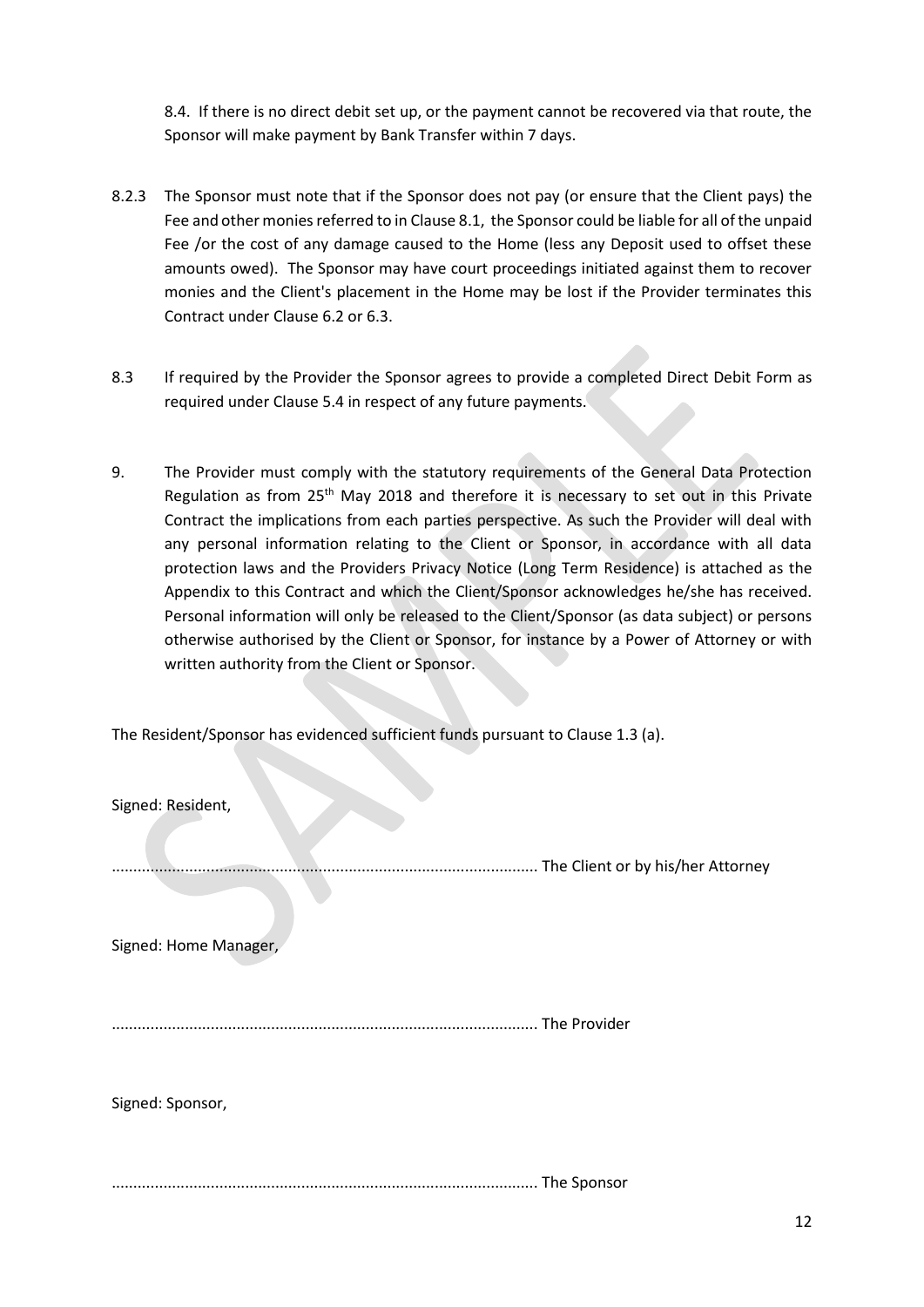8.4. If there is no direct debit set up, or the payment cannot be recovered via that route, the Sponsor will make payment by Bank Transfer within 7 days.

- 8.2.3 The Sponsor must note that if the Sponsor does not pay (or ensure that the Client pays) the Fee and other monies referred to in Clause 8.1, the Sponsor could be liable for all of the unpaid Fee /or the cost of any damage caused to the Home (less any Deposit used to offset these amounts owed). The Sponsor may have court proceedings initiated against them to recover monies and the Client's placement in the Home may be lost if the Provider terminates this Contract under Clause 6.2 or 6.3.
- 8.3 If required by the Provider the Sponsor agrees to provide a completed Direct Debit Form as required under Clause 5.4 in respect of any future payments.
- 9. The Provider must comply with the statutory requirements of the General Data Protection Regulation as from 25<sup>th</sup> May 2018 and therefore it is necessary to set out in this Private Contract the implications from each parties perspective. As such the Provider will deal with any personal information relating to the Client or Sponsor, in accordance with all data protection laws and the Providers Privacy Notice (Long Term Residence) is attached as the Appendix to this Contract and which the Client/Sponsor acknowledges he/she has received. Personal information will only be released to the Client/Sponsor (as data subject) or persons otherwise authorised by the Client or Sponsor, for instance by a Power of Attorney or with written authority from the Client or Sponsor.

The Resident/Sponsor has evidenced sufficient funds pursuant to Clause 1.3 (a).

| Signed: Resident,     |                                   |
|-----------------------|-----------------------------------|
|                       | The Client or by his/her Attorney |
| Signed: Home Manager, |                                   |
|                       | The Provider                      |
| Signed: Sponsor,      |                                   |
|                       | The Sponsor                       |